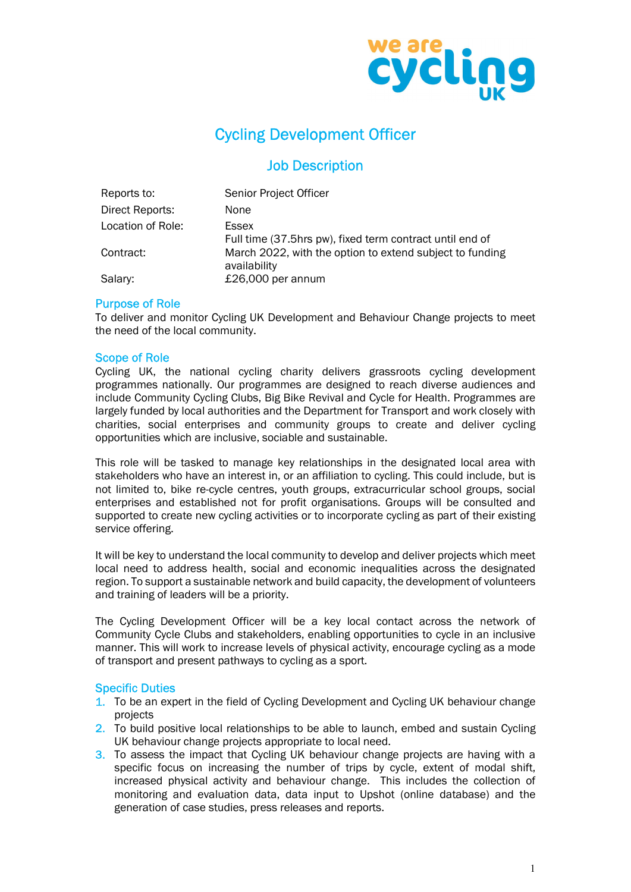

## Cycling Development Officer

### Job Description

| Reports to:       | Senior Project Officer                                                   |
|-------------------|--------------------------------------------------------------------------|
| Direct Reports:   | None                                                                     |
| Location of Role: | Essex<br>Full time (37.5hrs pw), fixed term contract until end of        |
| Contract:         | March 2022, with the option to extend subject to funding<br>availability |
| Salary:           | £26,000 per annum                                                        |

#### Purpose of Role

To deliver and monitor Cycling UK Development and Behaviour Change projects to meet the need of the local community.

#### Scope of Role

Cycling UK, the national cycling charity delivers grassroots cycling development programmes nationally. Our programmes are designed to reach diverse audiences and include Community Cycling Clubs, Big Bike Revival and Cycle for Health. Programmes are largely funded by local authorities and the Department for Transport and work closely with charities, social enterprises and community groups to create and deliver cycling opportunities which are inclusive, sociable and sustainable.

This role will be tasked to manage key relationships in the designated local area with stakeholders who have an interest in, or an affiliation to cycling. This could include, but is not limited to, bike re-cycle centres, youth groups, extracurricular school groups, social enterprises and established not for profit organisations. Groups will be consulted and supported to create new cycling activities or to incorporate cycling as part of their existing service offering.

It will be key to understand the local community to develop and deliver projects which meet local need to address health, social and economic inequalities across the designated region. To support a sustainable network and build capacity, the development of volunteers and training of leaders will be a priority.

The Cycling Development Officer will be a key local contact across the network of Community Cycle Clubs and stakeholders, enabling opportunities to cycle in an inclusive manner. This will work to increase levels of physical activity, encourage cycling as a mode of transport and present pathways to cycling as a sport.

#### Specific Duties

- 1. To be an expert in the field of Cycling Development and Cycling UK behaviour change projects
- 2. To build positive local relationships to be able to launch, embed and sustain Cycling UK behaviour change projects appropriate to local need.
- 3. To assess the impact that Cycling UK behaviour change projects are having with a specific focus on increasing the number of trips by cycle, extent of modal shift, increased physical activity and behaviour change. This includes the collection of monitoring and evaluation data, data input to Upshot (online database) and the generation of case studies, press releases and reports.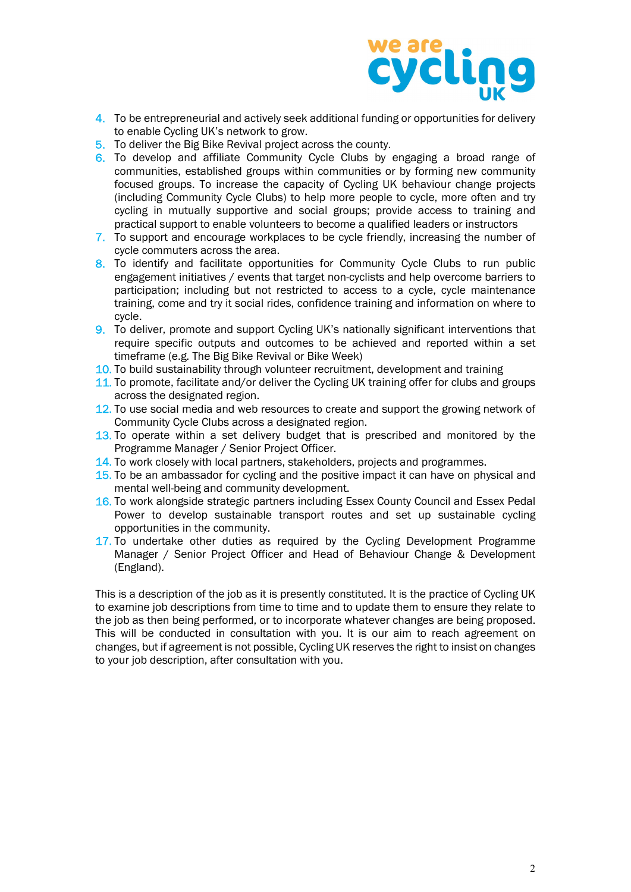

- 4. To be entrepreneurial and actively seek additional funding or opportunities for delivery to enable Cycling UK's network to grow.
- 5. To deliver the Big Bike Revival project across the county.
- 6. To develop and affiliate Community Cycle Clubs by engaging a broad range of communities, established groups within communities or by forming new community focused groups. To increase the capacity of Cycling UK behaviour change projects (including Community Cycle Clubs) to help more people to cycle, more often and try cycling in mutually supportive and social groups; provide access to training and practical support to enable volunteers to become a qualified leaders or instructors
- 7. To support and encourage workplaces to be cycle friendly, increasing the number of cycle commuters across the area.
- 8. To identify and facilitate opportunities for Community Cycle Clubs to run public engagement initiatives / events that target non-cyclists and help overcome barriers to participation; including but not restricted to access to a cycle, cycle maintenance training, come and try it social rides, confidence training and information on where to cycle.
- 9. To deliver, promote and support Cycling UK's nationally significant interventions that require specific outputs and outcomes to be achieved and reported within a set timeframe (e.g. The Big Bike Revival or Bike Week)
- 10. To build sustainability through volunteer recruitment, development and training
- 11. To promote, facilitate and/or deliver the Cycling UK training offer for clubs and groups across the designated region.
- 12. To use social media and web resources to create and support the growing network of Community Cycle Clubs across a designated region.
- 13. To operate within a set delivery budget that is prescribed and monitored by the Programme Manager / Senior Project Officer.
- 14. To work closely with local partners, stakeholders, projects and programmes.
- 15. To be an ambassador for cycling and the positive impact it can have on physical and mental well-being and community development.
- 16. To work alongside strategic partners including Essex County Council and Essex Pedal Power to develop sustainable transport routes and set up sustainable cycling opportunities in the community.
- 17. To undertake other duties as required by the Cycling Development Programme Manager / Senior Project Officer and Head of Behaviour Change & Development (England).

This is a description of the job as it is presently constituted. It is the practice of Cycling UK to examine job descriptions from time to time and to update them to ensure they relate to the job as then being performed, or to incorporate whatever changes are being proposed. This will be conducted in consultation with you. It is our aim to reach agreement on changes, but if agreement is not possible, Cycling UK reserves the right to insist on changes to your job description, after consultation with you.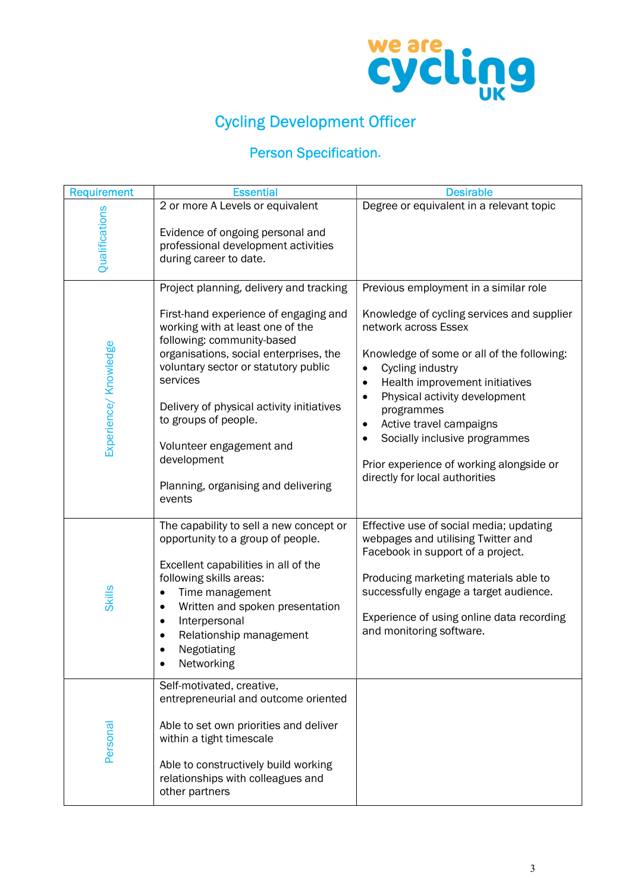

# Cycling Development Officer

## Person Specification.

| <b>Requirement</b>    | <b>Essential</b>                                                                                                                                                                                                                                                                                                                                                       | <b>Desirable</b>                                                                                                                                                                                                                                                                                                                                                                                            |
|-----------------------|------------------------------------------------------------------------------------------------------------------------------------------------------------------------------------------------------------------------------------------------------------------------------------------------------------------------------------------------------------------------|-------------------------------------------------------------------------------------------------------------------------------------------------------------------------------------------------------------------------------------------------------------------------------------------------------------------------------------------------------------------------------------------------------------|
|                       | 2 or more A Levels or equivalent                                                                                                                                                                                                                                                                                                                                       | Degree or equivalent in a relevant topic                                                                                                                                                                                                                                                                                                                                                                    |
| Qualifications        | Evidence of ongoing personal and<br>professional development activities<br>during career to date.                                                                                                                                                                                                                                                                      |                                                                                                                                                                                                                                                                                                                                                                                                             |
|                       | Project planning, delivery and tracking                                                                                                                                                                                                                                                                                                                                | Previous employment in a similar role                                                                                                                                                                                                                                                                                                                                                                       |
| Experience/ Knowledge | First-hand experience of engaging and<br>working with at least one of the<br>following: community-based<br>organisations, social enterprises, the<br>voluntary sector or statutory public<br>services<br>Delivery of physical activity initiatives<br>to groups of people.<br>Volunteer engagement and<br>development<br>Planning, organising and delivering<br>events | Knowledge of cycling services and supplier<br>network across Essex<br>Knowledge of some or all of the following:<br>Cycling industry<br>$\bullet$<br>Health improvement initiatives<br>$\bullet$<br>Physical activity development<br>$\bullet$<br>programmes<br>Active travel campaigns<br>٠<br>Socially inclusive programmes<br>Prior experience of working alongside or<br>directly for local authorities |
| <b>Skills</b>         | The capability to sell a new concept or<br>opportunity to a group of people.<br>Excellent capabilities in all of the<br>following skills areas:<br>Time management<br>$\bullet$<br>Written and spoken presentation<br>$\bullet$<br>Interpersonal<br>$\bullet$<br>Relationship management<br>Negotiating<br>Networking                                                  | Effective use of social media; updating<br>webpages and utilising Twitter and<br>Facebook in support of a project.<br>Producing marketing materials able to<br>successfully engage a target audience.<br>Experience of using online data recording<br>and monitoring software.                                                                                                                              |
| Personal              | Self-motivated, creative,<br>entrepreneurial and outcome oriented<br>Able to set own priorities and deliver<br>within a tight timescale<br>Able to constructively build working<br>relationships with colleagues and<br>other partners                                                                                                                                 |                                                                                                                                                                                                                                                                                                                                                                                                             |